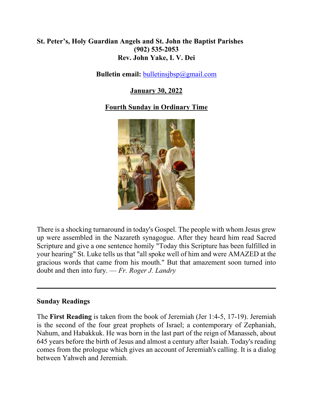### **St. Peter's, Holy Guardian Angels and St. John the Baptist Parishes (902) 535-2053 Rev. John Yake, I. V. Dei**

#### **Bulletin email: [bulletinsjbsp@gmail.com](mailto:bulletinsjbsp@gmail.com)**

#### **January 30, 2022**

#### **Fourth Sunday in Ordinary Time**



There is a shocking turnaround in today's Gospel. The people with whom Jesus grew up were assembled in the Nazareth synagogue. After they heard him read Sacred Scripture and give a one sentence homily "Today this Scripture has been fulfilled in your hearing" St. Luke tells us that "all spoke well of him and were AMAZED at the gracious words that came from his mouth." But that amazement soon turned into doubt and then into fury. — *Fr. Roger J. Landry*

#### **Sunday Readings**

The **First Reading** is taken from the book of Jeremiah (Jer 1:4-5, 17-19). Jeremiah is the second of the four great prophets of Israel; a contemporary of Zephaniah, Nahum, and Habakkuk. He was born in the last part of the reign of Manasseh, about 645 years before the birth of Jesus and almost a century after Isaiah. Today's reading comes from the prologue which gives an account of Jeremiah's calling. It is a dialog between Yahweh and Jeremiah.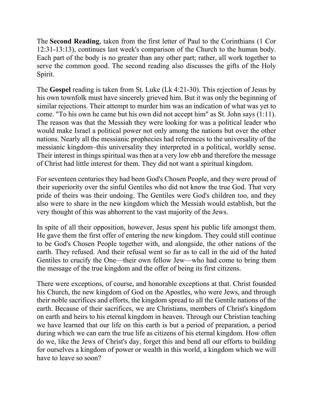The **Second Reading**, taken from the first letter of Paul to the Corinthians (1 Cor 12:31-13:13), continues last week's comparison of the Church to the human body. Each part of the body is no greater than any other part; rather, all work together to serve the common good. The second reading also discusses the gifts of the Holy Spirit.

The **Gospel** reading is taken from St. Luke (Lk 4:21-30). This rejection of Jesus by his own townfolk must have sincerely grieved him. But it was only the beginning of similar rejections. Their attempt to murder him was an indication of what was yet to come. "To his own he came but his own did not accept him" as St. John says (1:11). The reason was that the Messiah they were looking for was a political leader who would make Israel a political power not only among the nations but over the other nations. Nearly all the messianic prophecies had references to the universality of the messianic kingdom–this universality they interpreted in a political, worldly sense. Their interest in things spiritual was then at a very low ebb and therefore the message of Christ had little interest for them. They did not want a spiritual kingdom.

For seventeen centuries they had been God's Chosen People, and they were proud of their superiority over the sinful Gentiles who did not know the true God. That very pride of theirs was their undoing. The Gentiles were God's children too, and they also were to share in the new kingdom which the Messiah would establish, but the very thought of this was abhorrent to the vast majority of the Jews.

In spite of all their opposition, however, Jesus spent his public life amongst them. He gave them the first offer of entering the new kingdom. They could still continue to be God's Chosen People together with, and alongside, the other nations of the earth. They refused. And their refusal went so far as to call in the aid of the hated Gentiles to crucify the One—their own fellow Jew—who had come to bring them the message of the true kingdom and the offer of being its first citizens.

There were exceptions, of course, and honorable exceptions at that. Christ founded his Church, the new kingdom of God on the Apostles, who were Jews, and through their noble sacrifices and efforts, the kingdom spread to all the Gentile nations of the earth. Because of their sacrifices, we are Christians, members of Christ's kingdom on earth and heirs to his eternal kingdom in heaven. Through our Christian teaching we have learned that our life on this earth is but a period of preparation, a period during which we can earn the true life as citizens of his eternal kingdom. How often do we, like the Jews of Christ's day, forget this and bend all our efforts to building for ourselves a kingdom of power or wealth in this world, a kingdom which we will have to leave so soon?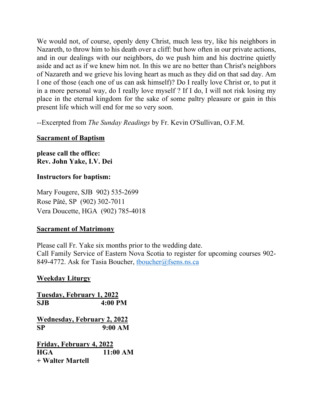We would not, of course, openly deny Christ, much less try, like his neighbors in Nazareth, to throw him to his death over a cliff: but how often in our private actions, and in our dealings with our neighbors, do we push him and his doctrine quietly aside and act as if we knew him not. In this we are no better than Christ's neighbors of Nazareth and we grieve his loving heart as much as they did on that sad day. Am I one of those (each one of us can ask himself)? Do I really love Christ or, to put it in a more personal way, do I really love myself ? If I do, I will not risk losing my place in the eternal kingdom for the sake of some paltry pleasure or gain in this present life which will end for me so very soon.

--Excerpted from *The Sunday Readings* by Fr. Kevin O'Sullivan, O.F.M.

#### **Sacrament of Baptism**

**please call the office: Rev. John Yake, I.V. Dei** 

#### **Instructors for baptism:**

Mary Fougere, SJB 902) 535-2699 Rose Pâté, SP (902) 302-7011 Vera Doucette, HGA (902) 785-4018

#### **Sacrament of Matrimony**

Please call Fr. Yake six months prior to the wedding date. Call Family Service of Eastern Nova Scotia to register for upcoming courses 902- 849-4772. Ask for Tasia Boucher, thoucher@fsens.ns.ca

#### **Weekday Liturgy**

**Tuesday, February 1, 2022 SJB 4:00 PM Wednesday, February 2, 2022 SP 9:00 AM Friday, February 4, 2022 HGA 11:00 AM + Walter Martell**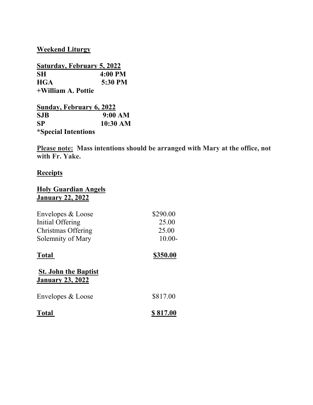**Weekend Liturgy**

| <b>Saturday, February 5, 2022</b> |                   |
|-----------------------------------|-------------------|
| SН                                | $4:00 \text{ PM}$ |
| <b>HGA</b>                        | 5:30 PM           |
| +William A. Pottie                |                   |

| Sunday, February 6, 2022   |            |
|----------------------------|------------|
| <b>SJB</b>                 | 9:00 AM    |
| <b>SP</b>                  | $10:30$ AM |
| <i>*Special Intentions</i> |            |

**Please note: Mass intentions should be arranged with Mary at the office, not with Fr. Yake.** 

# **Receipts**

#### **Holy Guardian Angels January 22, 2022**

| Envelopes & Loose<br>Initial Offering<br>Christmas Offering<br>Solemnity of Mary | \$290.00<br>25.00<br>25.00<br>$10.00 -$ |
|----------------------------------------------------------------------------------|-----------------------------------------|
| <b>Total</b>                                                                     | \$350.00                                |
| <b>St. John the Baptist</b><br><b>January 23, 2022</b>                           |                                         |
| Envelopes & Loose                                                                | \$817.00                                |
| <b>Total</b>                                                                     | \$817.00                                |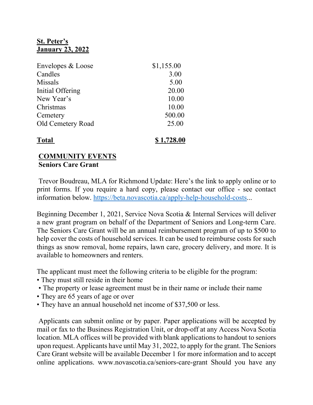### **St. Peter's January 23, 2022**

| Envelopes & Loose        | \$1,155.00 |
|--------------------------|------------|
| Candles                  | 3.00       |
| <b>Missals</b>           | 5.00       |
| Initial Offering         | 20.00      |
| New Year's               | 10.00      |
| Christmas                | 10.00      |
| Cemetery                 | 500.00     |
| <b>Old Cemetery Road</b> | 25.00      |
| <b>Total</b>             | \$1,728.00 |

#### **COMMUNITY EVENTS Seniors Care Grant**

 Trevor Boudreau, MLA for Richmond Update: Here's the link to apply online or to print forms. If you require a hard copy, please contact our office - see contact information below. [https://beta.novascotia.ca/apply-help-household-costs.](https://beta.novascotia.ca/apply-help-household-costs)..

Beginning December 1, 2021, Service Nova Scotia & Internal Services will deliver a new grant program on behalf of the Department of Seniors and Long-term Care. The Seniors Care Grant will be an annual reimbursement program of up to \$500 to help cover the costs of household services. It can be used to reimburse costs for such things as snow removal, home repairs, lawn care, grocery delivery, and more. It is available to homeowners and renters.

The applicant must meet the following criteria to be eligible for the program:

- They must still reside in their home
- The property or lease agreement must be in their name or include their name
- They are 65 years of age or over
- They have an annual household net income of \$37,500 or less.

 Applicants can submit online or by paper. Paper applications will be accepted by mail or fax to the Business Registration Unit, or drop-off at any Access Nova Scotia location. MLA offices will be provided with blank applications to handout to seniors upon request. Applicants have until May 31, 2022, to apply for the grant. The Seniors Care Grant website will be available December 1 for more information and to accept online applications. www.novascotia.ca/seniors-care-grant Should you have any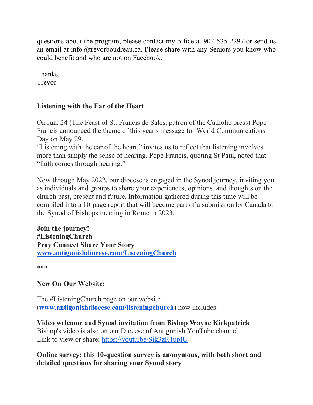questions about the program, please contact my office at 902-535-2297 or send us an email at info@trevorboudreau.ca. Please share with any Seniors you know who could benefit and who are not on Facebook.

Thanks, Trevor

### **Listening with the Ear of the Heart**

On Jan. 24 (The Feast of St. Francis de Sales, patron of the Catholic press) Pope Francis announced the theme of this year's message for World Communications Day on May 29.

"Listening with the ear of the heart," invites us to reflect that listening involves more than simply the sense of hearing. Pope Francis, quoting St Paul, noted that "faith comes through hearing."

Now through May 2022, our diocese is engaged in the Synod journey, inviting you as individuals and groups to share your experiences, opinions, and thoughts on the church past, present and future. Information gathered during this time will be compiled into a 10-page report that will become part of a submission by Canada to the Synod of Bishops meeting in Rome in 2023.

**Join the journey! #ListeningChurch Pray Connect Share Your Story [www.antigonishdiocese.com/ListeningChurch](https://antigonishdiocese.us11.list-manage.com/track/click?u=46108c95b96680ff598b4aa1d&id=02f76a47d8&e=3b1a152e05)**

\*\*\*

**New On Our Website:**

The #ListeningChurch page on our website (**[www.antigonishdiocese.com/listeningchurch](http://www.antigonishdiocese.com/listeningchurch)**) now includes:

**Video welcome and Synod invitation from Bishop Wayne Kirkpatrick** Bishop's video is also on our Diocese of Antigonish YouTube channel. Link to view or share:<https://youtu.be/Sik3zR1upIU>

**Online survey: this 10-question survey is anonymous, with both short and detailed questions for sharing your Synod story**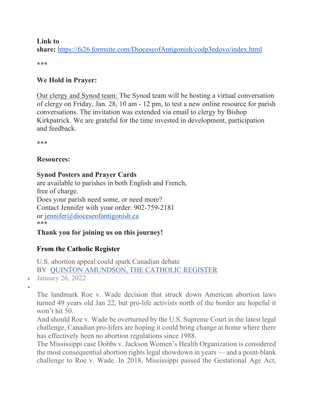#### **Link to**

**share:** <https://fs26.formsite.com/DioceseofAntigonish/codp3edovo/index.html>

\*\*\*

### **We Hold in Prayer:**

Our clergy and Synod team: The Synod team will be hosting a virtual conversation of clergy on Friday, Jan. 28, 10 am - 12 pm, to test a new online resource for parish conversations. The invitation was extended via email to clergy by Bishop Kirkpatrick. We are grateful for the time invested in development, participation and feedback.

\*\*\*

### **Resources:**

## **Synod Posters and Prayer Cards**

are available to parishes in both English and French, free of charge. Does your parish need some, or need more? Contact Jennifer with your order: 902-759-2181 or [jennifer@dioceseofantigonish.ca](mailto:jennifer@dioceseofantigonish.ca) \*\*\*

# **Thank you for joining us on this journey!**

# **From the Catholic Register**

U.S. abortion appeal could spark Canadian debate BY [QUINTON AMUNDSON, THE CATHOLIC REGISTER](https://www.catholicregister.org/itemlist/user/8327-quintonamundsonthecatholicregister)

January 26, 2022

 $\bullet$ 

The landmark Roe v. Wade decision that struck down American abortion laws turned 49 years old Jan 22, but pro-life activists north of the border are hopeful it won't hit 50.

And should Roe v. Wade be overturned by the U.S. Supreme Court in the latest legal challenge, Canadian pro-lifers are hoping it could bring change at home where there has effectively been no abortion regulations since 1988.

The Mississippi case Dobbs v. Jackson Women's Health Organization is considered the most consequential abortion rights legal showdown in years — and a point-blank challenge to Roe v. Wade. In 2018, Mississippi passed the Gestational Age Act,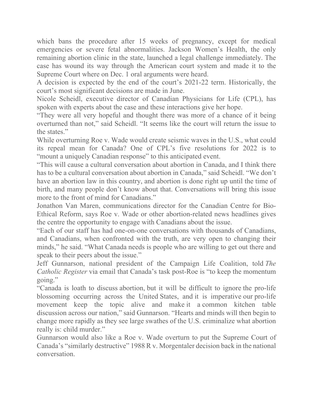which bans the procedure after 15 weeks of pregnancy, except for medical emergencies or severe fetal abnormalities. Jackson Women's Health, the only remaining abortion clinic in the state, launched a legal challenge immediately. The case has wound its way through the American court system and made it to the Supreme Court where on Dec. 1 oral arguments were heard.

A decision is expected by the end of the court's 2021-22 term. Historically, the court's most significant decisions are made in June.

Nicole Scheidl, executive director of Canadian Physicians for Life (CPL), has spoken with experts about the case and these interactions give her hope.

"They were all very hopeful and thought there was more of a chance of it being overturned than not," said Scheidl. "It seems like the court will return the issue to the states."

While overturning Roe v. Wade would create seismic waves in the U.S., what could its repeal mean for Canada? One of CPL's five resolutions for 2022 is to "mount a uniquely Canadian response" to this anticipated event.

"This will cause a cultural conversation about abortion in Canada, and I think there has to be a cultural conversation about abortion in Canada," said Scheidl. "We don't have an abortion law in this country, and abortion is done right up until the time of birth, and many people don't know about that. Conversations will bring this issue more to the front of mind for Canadians."

Jonathon Van Maren, communications director for the Canadian Centre for Bio-Ethical Reform, says Roe v. Wade or other abortion-related news headlines gives the centre the opportunity to engage with Canadians about the issue.

"Each of our staff has had one-on-one conversations with thousands of Canadians, and Canadians, when confronted with the truth, are very open to changing their minds," he said. "What Canada needs is people who are willing to get out there and speak to their peers about the issue."

Jeff Gunnarson, national president of the Campaign Life Coalition, told *The Catholic Register* via email that Canada's task post-Roe is "to keep the momentum going."

"Canada is loath to discuss abortion, but it will be difficult to ignore the pro-life blossoming occurring across the United States, and it is imperative our pro-life movement keep the topic alive and make it a common kitchen table discussion across our nation," said Gunnarson. "Hearts and minds will then begin to change more rapidly as they see large swathes of the U.S. criminalize what abortion really is: child murder."

Gunnarson would also like a Roe v. Wade overturn to put the Supreme Court of Canada's "similarly destructive" 1988 R v. Morgentaler decision back in the national conversation.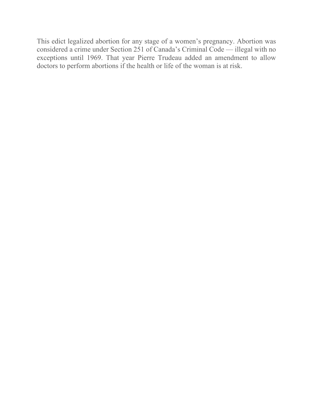This edict legalized abortion for any stage of a women's pregnancy. Abortion was considered a crime under Section 251 of Canada's Criminal Code — illegal with no exceptions until 1969. That year Pierre Trudeau added an amendment to allow doctors to perform abortions if the health or life of the woman is at risk.